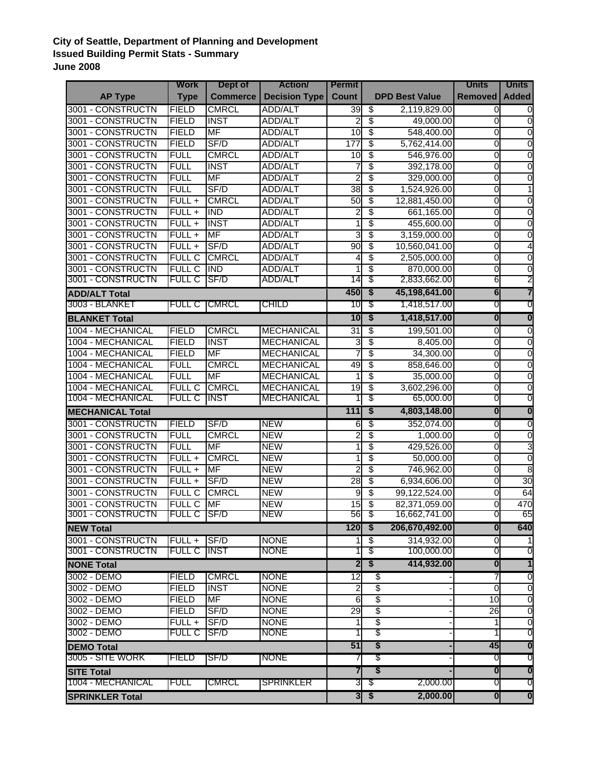## **City of Seattle, Department of Planning and Development Issued Building Permit Stats - Summary June 2008**

|                          | Work          | Dept of         | <b>Action</b>        | <b>Permit</b>   |                                      |                       | <b>Units</b>            | <b>Units</b>            |
|--------------------------|---------------|-----------------|----------------------|-----------------|--------------------------------------|-----------------------|-------------------------|-------------------------|
| <b>AP Type</b>           | <b>Type</b>   | <b>Commerce</b> | <b>Decision Type</b> | Count           |                                      | <b>DPD Best Value</b> | <b>Removed</b>          | <b>Added</b>            |
| <b>3001 - CONSTRUCTN</b> | <b>FIELD</b>  | <b>CMRCL</b>    | <b>ADD/ALT</b>       | 39              | \$                                   | 2,119,829.00          | 0                       | Ō                       |
| 3001 - CONSTRUCTN        | <b>FIELD</b>  | <b>INST</b>     | <b>ADD/ALT</b>       | $\overline{2}$  | $\overline{\$}$                      | 49,000.00             | 0                       | $\overline{0}$          |
| 3001 - CONSTRUCTN        | <b>FIELD</b>  | <b>MF</b>       | <b>ADD/ALT</b>       | 10              | $\overline{\$}$                      | 548,400.00            | 0                       | $\overline{0}$          |
| 3001 - CONSTRUCTN        | <b>FIELD</b>  | SF/D            | <b>ADD/ALT</b>       | 177             | \$                                   | 5,762,414.00          | 0                       | $\overline{0}$          |
| 3001 - CONSTRUCTN        | <b>FULL</b>   | <b>CMRCL</b>    | <b>ADD/ALT</b>       | $\overline{10}$ | \$                                   | 546,976.00            | 0                       | $\overline{0}$          |
| 3001 - CONSTRUCTN        | <b>FULL</b>   | <b>INST</b>     | <b>ADD/ALT</b>       | 7               | \$                                   | 392,178.00            | 0                       | 0                       |
| 3001 - CONSTRUCTN        | <b>FULL</b>   | <b>MF</b>       | <b>ADD/ALT</b>       | 2               | \$                                   | 329,000.00            | 0                       | 0                       |
| 3001 - CONSTRUCTN        | <b>FULL</b>   | SF/D            | <b>ADD/ALT</b>       | 38              | \$                                   | 1,524,926.00          | 0                       | 1                       |
| <b>3001 - CONSTRUCTN</b> | $FULL +$      | <b>CMRCL</b>    | <b>ADD/ALT</b>       | 50              | \$                                   | 12,881,450.00         | 0                       | $\overline{0}$          |
| 3001 - CONSTRUCTN        | $FULL +$      | <b>IND</b>      | <b>ADD/ALT</b>       | 2               | \$                                   | 661,165.00            | 0                       | $\mathbf 0$             |
| <b>3001 - CONSTRUCTN</b> | $FULL +$      | <b>INST</b>     | <b>ADD/ALT</b>       |                 | \$                                   | 455,600.00            | 0                       | $\overline{0}$          |
| 3001 - CONSTRUCTN        | $FULL +$      | <b>MF</b>       | <b>ADD/ALT</b>       | 3               | \$                                   | 3,159,000.00          | Ō                       | $\overline{0}$          |
| 3001 - CONSTRUCTN        | $FULL +$      | SF/D            | <b>ADD/ALT</b>       | 90              | \$                                   | 10,560,041.00         | $\overline{0}$          | 4                       |
| 3001 - CONSTRUCTN        | <b>FULL C</b> | <b>CMRCL</b>    | <b>ADD/ALT</b>       | 4               | \$                                   | 2,505,000.00          | 0                       | $\mathbf 0$             |
| 3001 - CONSTRUCTN        | <b>FULL C</b> | <b>IND</b>      | <b>ADD/ALT</b>       |                 | \$                                   | 870,000.00            | 0                       | 0                       |
| 3001 - CONSTRUCTN        | <b>FULL C</b> | SF/D            | ADD/ALT              | 14              | \$                                   | 2,833,662.00          | 6                       | 2                       |
| <b>ADD/ALT Total</b>     |               |                 |                      | 450             | $\overline{\boldsymbol{s}}$          | 45,198,641.00         | $6 \,$                  | 7                       |
| 3003 - BLANKET           | <b>FULL C</b> | <b>CMRCL</b>    | <b>CHILD</b>         | 10              | \$                                   | 1,418,517.00          | 0                       | 0                       |
| <b>BLANKET Total</b>     |               |                 |                      | 10              | \$                                   | 1,418,517.00          | $\overline{\mathbf{0}}$ | $\overline{\mathbf{0}}$ |
| 1004 - MECHANICAL        | <b>FIELD</b>  | <b>CMRCL</b>    | <b>MECHANICAL</b>    | $\overline{31}$ | \$                                   | 199,501.00            | $\mathbf 0$             | 0                       |
| 1004 - MECHANICAL        | <b>FIELD</b>  | <b>INST</b>     | <b>MECHANICAL</b>    | 3               | \$                                   | 8,405.00              | 0                       | $\mathbf 0$             |
| 1004 - MECHANICAL        | <b>FIELD</b>  | <b>MF</b>       | <b>MECHANICAL</b>    | 7               | \$                                   | 34,300.00             | 0                       | $\mathbf 0$             |
| 1004 - MECHANICAL        | <b>FULL</b>   | <b>CMRCL</b>    | <b>MECHANICAL</b>    | 49              | \$                                   | 858,646.00            | 0                       | $\overline{0}$          |
| 1004 - MECHANICAL        | <b>FULL</b>   | <b>MF</b>       | <b>MECHANICAL</b>    | 1               | \$                                   | 35,000.00             | $\overline{0}$          | $\overline{0}$          |
| 1004 - MECHANICAL        | <b>FULL C</b> | <b>CMRCL</b>    | <b>MECHANICAL</b>    | 19              | \$                                   | 3,602,296.00          | $\overline{0}$          | $\mathbf 0$             |
| 1004 - MECHANICAL        | <b>FULL C</b> | <b>INST</b>     | <b>MECHANICAL</b>    |                 | \$                                   | 65,000.00             | 0                       | 0                       |
| <b>MECHANICAL Total</b>  |               |                 |                      | $111$           | \$                                   | 4,803,148.00          | $\overline{\mathbf{0}}$ | $\overline{\mathbf{0}}$ |
| <b>3001 - CONSTRUCTN</b> | <b>FIELD</b>  | SF/D            | <b>NEW</b>           | 6               | \$                                   | 352,074.00            | $\mathbf 0$             | $\overline{0}$          |
| <b>3001 - CONSTRUCTN</b> | <b>FULL</b>   | <b>CMRCL</b>    | <b>NEW</b>           | 2               | \$                                   | 1,000.00              | 0                       | $\mathbf 0$             |
| 3001 - CONSTRUCTN        | <b>FULL</b>   | <b>MF</b>       | <b>NEW</b>           |                 | \$                                   | 429,526.00            | $\mathbf 0$             | 3                       |
| 3001 - CONSTRUCTN        | $FULL +$      | <b>CMRCL</b>    | <b>NEW</b>           |                 | \$                                   | 50,000.00             | 0                       | $\mathbf 0$             |
| 3001 - CONSTRUCTN        | $FULL +$      | MF              | <b>NEW</b>           | 2               | \$                                   | 746,962.00            | 0                       | $\overline{8}$          |
| 3001 - CONSTRUCTN        | $FUL +$       | SF/D            | <b>NEW</b>           | 28              | \$                                   | 6,934,606.00          | 0                       | 30                      |
| 3001 - CONSTRUCTN        | <b>FULL C</b> | <b>CMRCL</b>    | <b>NEW</b>           | 9               | $\overline{\$}$                      | 99,122,524.00         | 0                       | 64                      |
| 3001 - CONSTRUCTN        | <b>FULL C</b> | <b>MF</b>       | <b>NEW</b>           | 15              | \$                                   | 82,371,059.00         | 0                       | 470                     |
| 3001 - CONSTRUCTN        | <b>FULL C</b> | SF/D            | <b>NEW</b>           | 56              | \$                                   | 16,662,741.00         | 0                       | 65                      |
| <b>NEW Total</b>         |               |                 |                      | $120 \mid $$    |                                      | 206,670,492.00        | $\mathbf{0}$            | 640                     |
| 3001 - CONSTRUCTN        | FULL +        | SF/D            | <b>NONE</b>          | 1               | \$                                   | 314,932.00            | ō                       | $\mathbf{1}$            |
| 3001 - CONSTRUCTN        | <b>FULL C</b> | <b>INST</b>     | <b>NONE</b>          |                 | \$                                   | 100,000.00            | 0                       | 0                       |
| <b>NONE Total</b>        |               |                 |                      | $\overline{2}$  | \$                                   | 414,932.00            | $\overline{\mathbf{0}}$ | $\overline{\mathbf{1}}$ |
| 3002 - DEMO              | <b>FIELD</b>  | <b>CMRCL</b>    | <b>NONE</b>          | $\overline{12}$ | \$                                   |                       | 7                       | O                       |
| 3002 - DEMO              | <b>FIELD</b>  | <b>INST</b>     | <b>NONE</b>          | $\overline{2}$  | $\overline{\$}$                      |                       | $\mathbf 0$             | ō                       |
| 3002 - DEMO              | <b>FIELD</b>  | <b>MF</b>       | <b>NONE</b>          | 6               | \$                                   |                       | $\overline{10}$         | $\overline{0}$          |
| 3002 - DEMO              | <b>FIELD</b>  | SF/D            | <b>NONE</b>          | 29              | \$                                   |                       | 26                      | $\mathbf 0$             |
| 3002 - DEMO              | FULL +        | SF/D            | <b>NONE</b>          |                 | \$                                   |                       |                         | 0                       |
| 3002 - DEMO              | <b>FULL C</b> | SF/D            | <b>NONE</b>          |                 | \$                                   |                       |                         | 0                       |
| <b>DEMO Total</b>        |               |                 |                      |                 | \$                                   |                       | 45                      | $\bf{0}$                |
| 3005 - SITE WORK         | FIELD         | SF/D            | <b>NONE</b>          |                 | \$                                   |                       | O                       | O                       |
| <b>SITE Total</b>        |               |                 |                      | 7               | $\overline{\boldsymbol{\mathsf{s}}}$ |                       | $\overline{\mathbf{0}}$ | $\overline{\mathbf{0}}$ |
| 1004 - MECHANICAL        | FULL          | <b>CMRCL</b>    | <b>SPRINKLER</b>     | 3               | \$                                   | 2,000.00              | 0                       | O                       |
| <b>SPRINKLER Total</b>   |               |                 |                      |                 | $3 \mid \frac{2}{3}$                 | 2,000.00              | $\mathbf{0}$            | $\overline{\mathbf{0}}$ |
|                          |               |                 |                      |                 |                                      |                       |                         |                         |